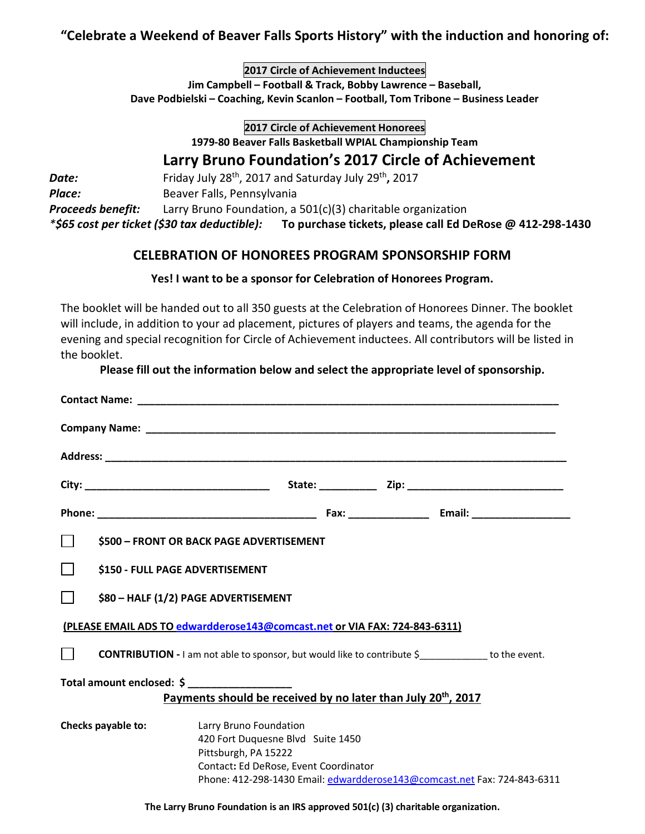## **"Celebrate a Weekend of Beaver Falls Sports History" with the induction and honoring of:**

**2017 Circle of Achievement Inductees Jim Campbell – Football & Track, Bobby Lawrence – Baseball, Dave Podbielski – Coaching, Kevin Scanlon – Football, Tom Tribone – Business Leader**

> **2017 Circle of Achievement Honorees 1979-80 Beaver Falls Basketball WPIAL Championship Team**

# **Larry Bruno Foundation's 2017 Circle of Achievement**

**Date:** Friday July 28<sup>th</sup>, 2017 and Saturday July 29<sup>th</sup>, 2017 **Place: Beaver Falls, Pennsylvania** *Proceeds benefit:* Larry Bruno Foundation, a 501(c)(3) charitable organization *\*\$65 cost per ticket (\$30 tax deductible):* **To purchase tickets, please call Ed DeRose @ 412-298-1430**

## **CELEBRATION OF HONOREES PROGRAM SPONSORSHIP FORM**

#### **Yes! I want to be a sponsor for Celebration of Honorees Program.**

The booklet will be handed out to all 350 guests at the Celebration of Honorees Dinner. The booklet will include, in addition to your ad placement, pictures of players and teams, the agenda for the evening and special recognition for Circle of Achievement inductees. All contributors will be listed in the booklet.

#### **Please fill out the information below and select the appropriate level of sponsorship.**

| \$500 - FRONT OR BACK PAGE ADVERTISEMENT                                                                  |                                                                                                                              |
|-----------------------------------------------------------------------------------------------------------|------------------------------------------------------------------------------------------------------------------------------|
| \$150 - FULL PAGE ADVERTISEMENT                                                                           |                                                                                                                              |
| \$80 - HALF (1/2) PAGE ADVERTISEMENT                                                                      |                                                                                                                              |
| (PLEASE EMAIL ADS TO edwardderose143@comcast.net or VIA FAX: 724-843-6311)                                |                                                                                                                              |
| <b>CONTRIBUTION - I</b> am not able to sponsor, but would like to contribute \$____________ to the event. |                                                                                                                              |
| Total amount enclosed: \$ _________________                                                               |                                                                                                                              |
| Payments should be received by no later than July 20 <sup>th</sup> , 2017                                 |                                                                                                                              |
| Checks payable to:                                                                                        | Larry Bruno Foundation<br>420 Fort Duquesne Blvd Suite 1450<br>Pittsburgh, PA 15222<br>Contact: Ed DeRose, Event Coordinator |
|                                                                                                           | Phone: 412-298-1430 Email: edwardderose143@comcast.net Fax: 724-843-6311                                                     |
| The Larry Bruno Foundation is an IRS approved 501(c) (3) charitable organization.                         |                                                                                                                              |